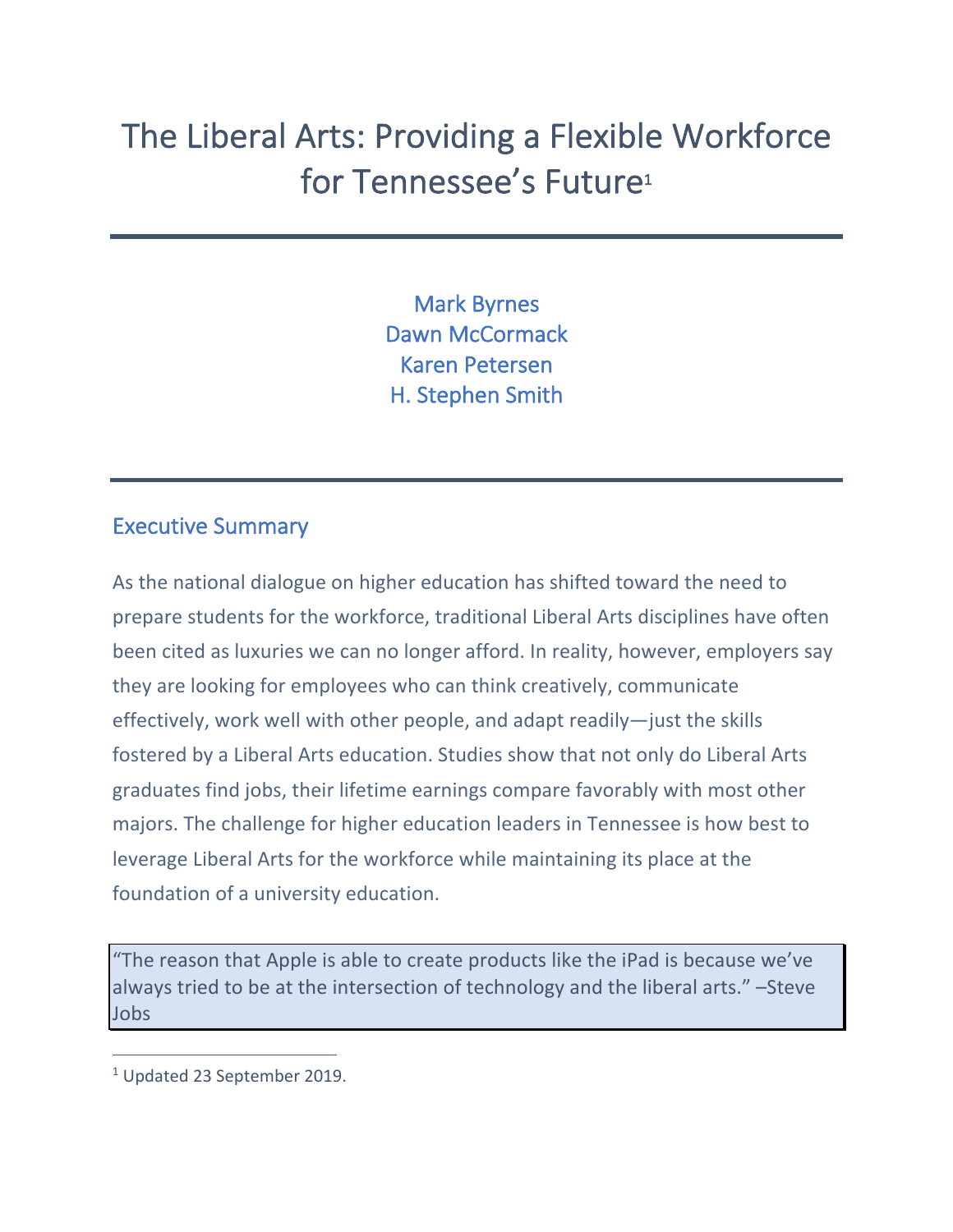# The Liberal Arts: Providing a Flexible Workforce for Tennessee's Future<sup>1</sup>

Mark Byrnes Dawn McCormack Karen Petersen H. Stephen Smith

#### Executive Summary

As the national dialogue on higher education has shifted toward the need to prepare students for the workforce, traditional Liberal Arts disciplines have often been cited as luxuries we can no longer afford. In reality, however, employers say they are looking for employees who can think creatively, communicate effectively, work well with other people, and adapt readily—just the skills fostered by a Liberal Arts education. Studies show that not only do Liberal Arts graduates find jobs, their lifetime earnings compare favorably with most other majors. The challenge for higher education leaders in Tennessee is how best to leverage Liberal Arts for the workforce while maintaining its place at the foundation of a university education.

"The reason that Apple is able to create products like the iPad is because we've always tried to be at the intersection of technology and the liberal arts." –Steve Jobs

<sup>1</sup> Updated 23 September 2019.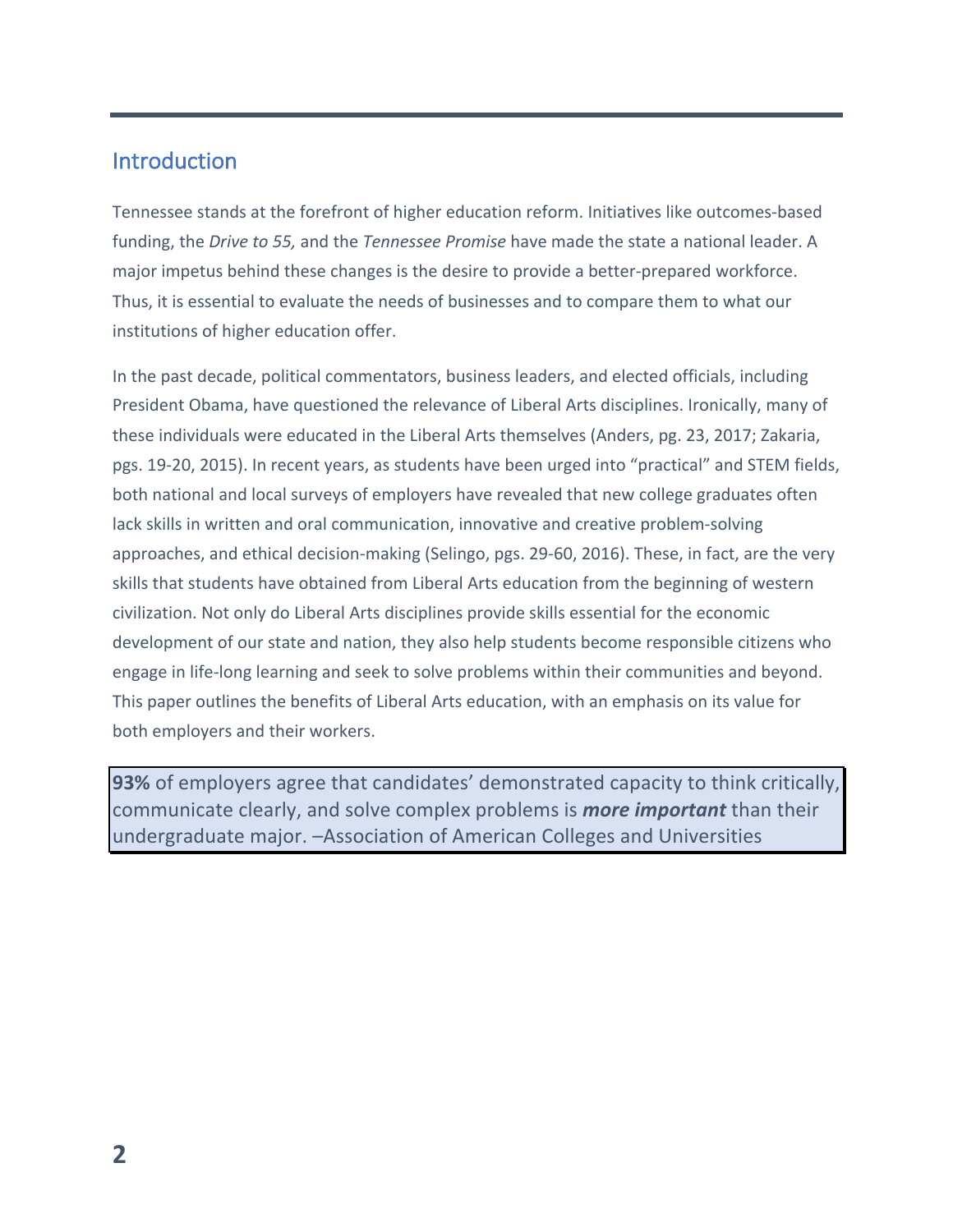#### Introduction

Tennessee stands at the forefront of higher education reform. Initiatives like outcomes-based funding, the *Drive to 55,* and the *Tennessee Promise* have made the state a national leader. A major impetus behind these changes is the desire to provide a better-prepared workforce. Thus, it is essential to evaluate the needs of businesses and to compare them to what our institutions of higher education offer.

In the past decade, political commentators, business leaders, and elected officials, including President Obama, have questioned the relevance of Liberal Arts disciplines. Ironically, many of these individuals were educated in the Liberal Arts themselves (Anders, pg. 23, 2017; Zakaria, pgs. 19-20, 2015). In recent years, as students have been urged into "practical" and STEM fields, both national and local surveys of employers have revealed that new college graduates often lack skills in written and oral communication, innovative and creative problem-solving approaches, and ethical decision-making (Selingo, pgs. 29-60, 2016). These, in fact, are the very skills that students have obtained from Liberal Arts education from the beginning of western civilization. Not only do Liberal Arts disciplines provide skills essential for the economic development of our state and nation, they also help students become responsible citizens who engage in life-long learning and seek to solve problems within their communities and beyond. This paper outlines the benefits of Liberal Arts education, with an emphasis on its value for both employers and their workers.

**93%** of employers agree that candidates' demonstrated capacity to think critically, communicate clearly, and solve complex problems is *more important* than their undergraduate major. –Association of American Colleges and Universities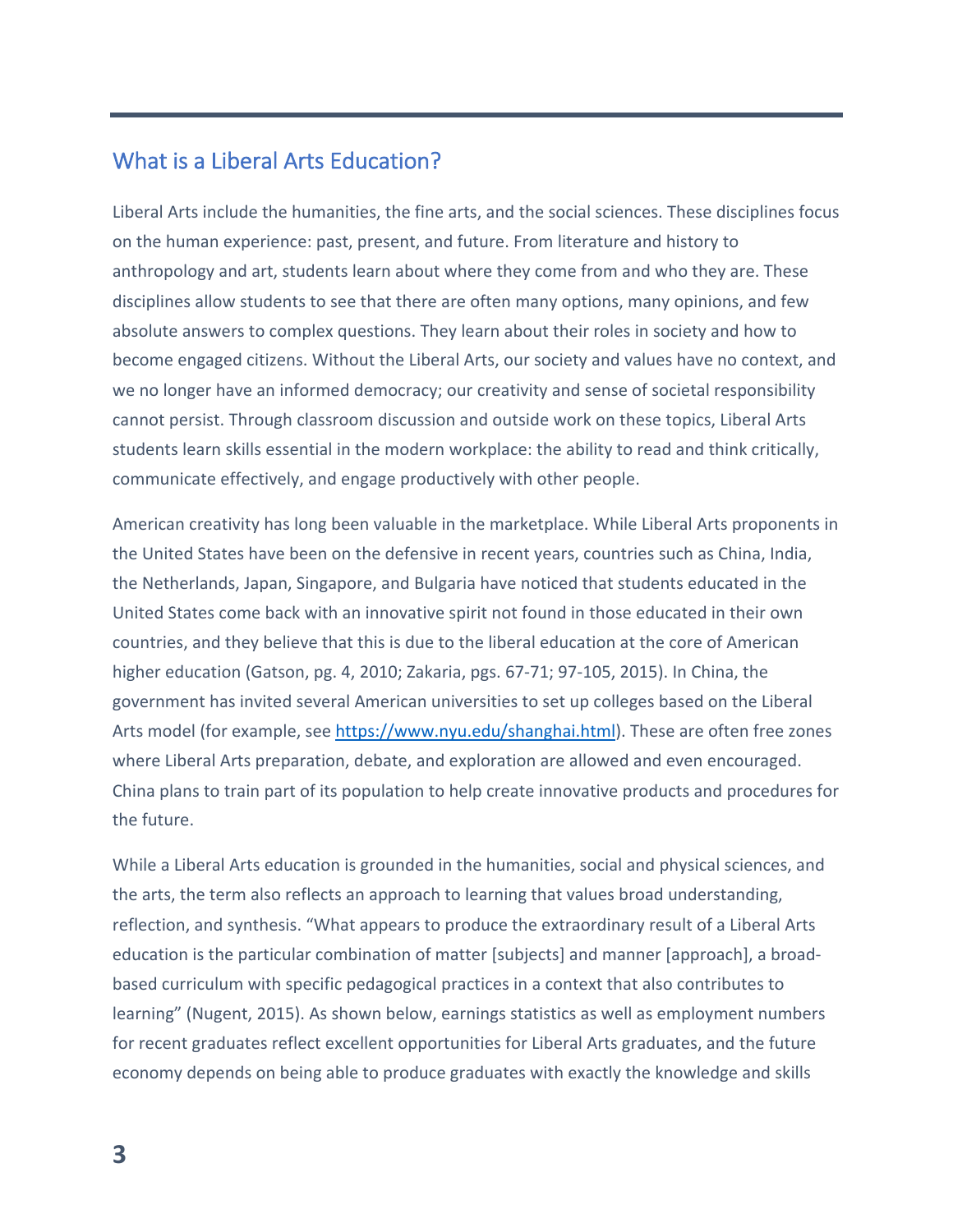## What is a Liberal Arts Education?

Liberal Arts include the humanities, the fine arts, and the social sciences. These disciplines focus on the human experience: past, present, and future. From literature and history to anthropology and art, students learn about where they come from and who they are. These disciplines allow students to see that there are often many options, many opinions, and few absolute answers to complex questions. They learn about their roles in society and how to become engaged citizens. Without the Liberal Arts, our society and values have no context, and we no longer have an informed democracy; our creativity and sense of societal responsibility cannot persist. Through classroom discussion and outside work on these topics, Liberal Arts students learn skills essential in the modern workplace: the ability to read and think critically, communicate effectively, and engage productively with other people.

American creativity has long been valuable in the marketplace. While Liberal Arts proponents in the United States have been on the defensive in recent years, countries such as China, India, the Netherlands, Japan, Singapore, and Bulgaria have noticed that students educated in the United States come back with an innovative spirit not found in those educated in their own countries, and they believe that this is due to the liberal education at the core of American higher education (Gatson, pg. 4, 2010; Zakaria, pgs. 67-71; 97-105, 2015). In China, the government has invited several American universities to set up colleges based on the Liberal Arts model (for example, see https://www.nyu.edu/shanghai.html). These are often free zones where Liberal Arts preparation, debate, and exploration are allowed and even encouraged. China plans to train part of its population to help create innovative products and procedures for the future.

While a Liberal Arts education is grounded in the humanities, social and physical sciences, and the arts, the term also reflects an approach to learning that values broad understanding, reflection, and synthesis. "What appears to produce the extraordinary result of a Liberal Arts education is the particular combination of matter [subjects] and manner [approach], a broadbased curriculum with specific pedagogical practices in a context that also contributes to learning" (Nugent, 2015). As shown below, earnings statistics as well as employment numbers for recent graduates reflect excellent opportunities for Liberal Arts graduates, and the future economy depends on being able to produce graduates with exactly the knowledge and skills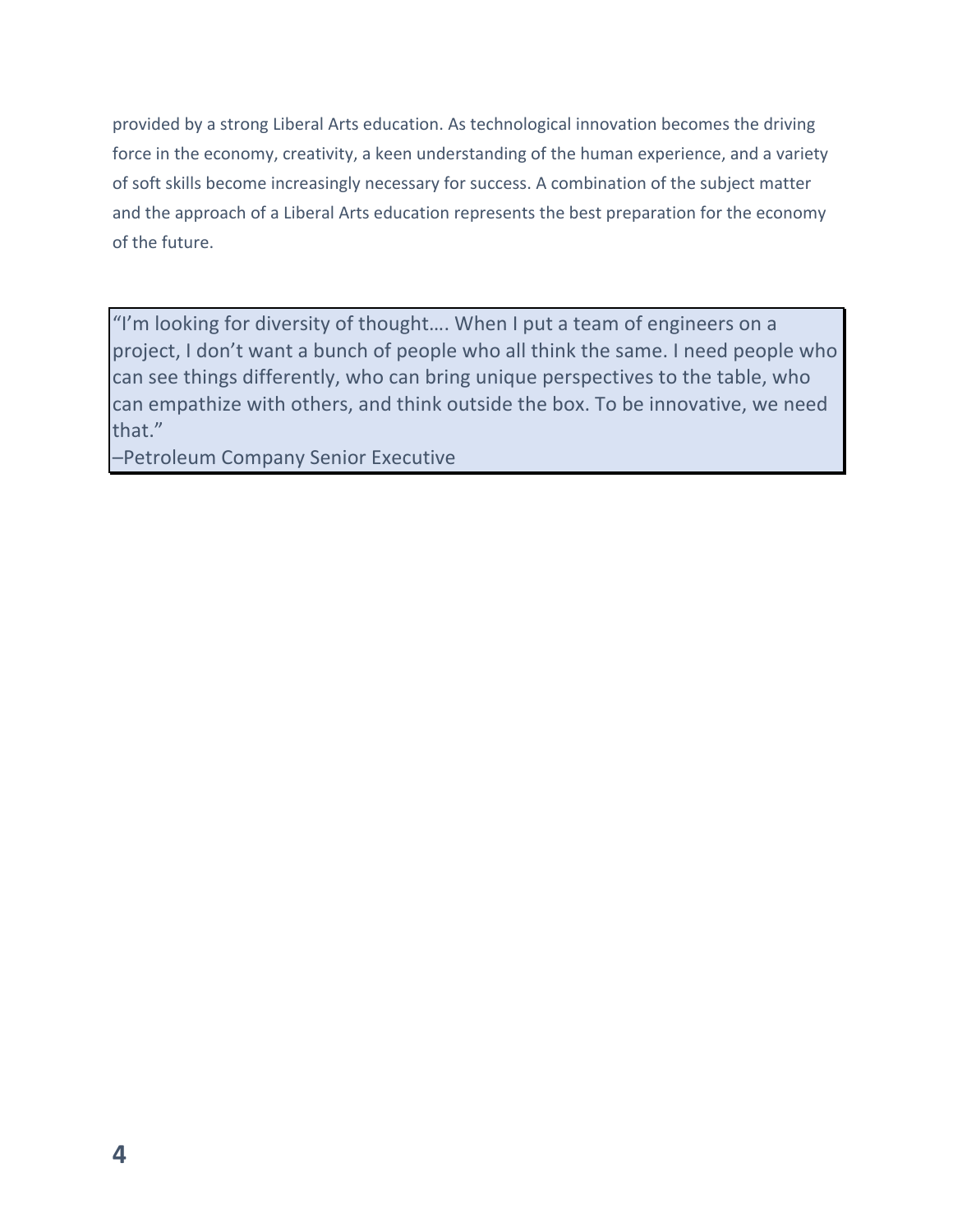provided by a strong Liberal Arts education. As technological innovation becomes the driving force in the economy, creativity, a keen understanding of the human experience, and a variety of soft skills become increasingly necessary for success. A combination of the subject matter and the approach of a Liberal Arts education represents the best preparation for the economy of the future.

"I'm looking for diversity of thought…. When I put a team of engineers on a project, I don't want a bunch of people who all think the same. I need people who can see things differently, who can bring unique perspectives to the table, who can empathize with others, and think outside the box. To be innovative, we need that."

–Petroleum Company Senior Executive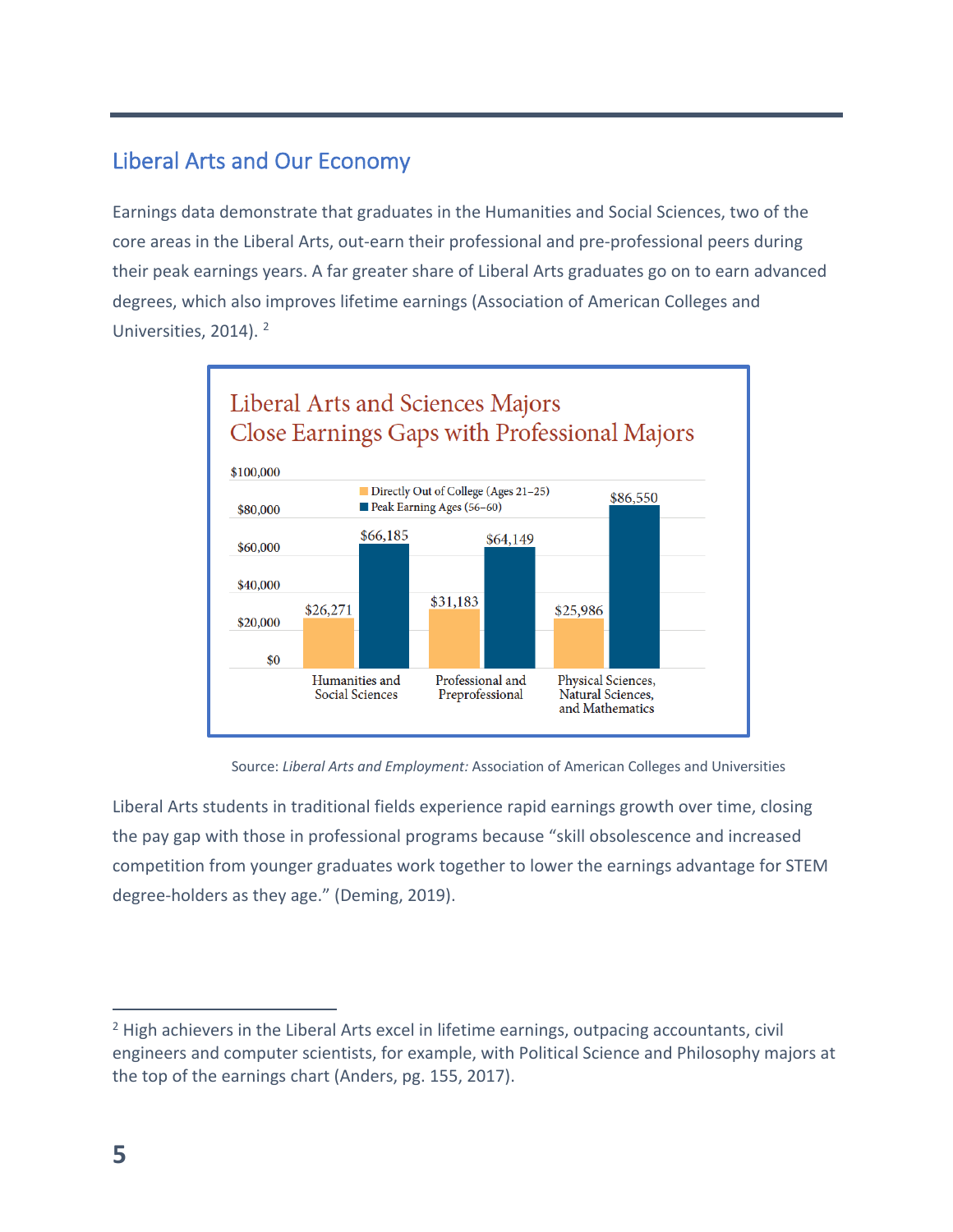## Liberal Arts and Our Economy

Earnings data demonstrate that graduates in the Humanities and Social Sciences, two of the core areas in the Liberal Arts, out-earn their professional and pre-professional peers during their peak earnings years. A far greater share of Liberal Arts graduates go on to earn advanced degrees, which also improves lifetime earnings (Association of American Colleges and Universities, 2014). 2



Source: *Liberal Arts and Employment:* Association of American Colleges and Universities

Liberal Arts students in traditional fields experience rapid earnings growth over time, closing the pay gap with those in professional programs because "skill obsolescence and increased competition from younger graduates work together to lower the earnings advantage for STEM degree-holders as they age." (Deming, 2019).

 $<sup>2</sup>$  High achievers in the Liberal Arts excel in lifetime earnings, outpacing accountants, civil</sup> engineers and computer scientists, for example, with Political Science and Philosophy majors at the top of the earnings chart (Anders, pg. 155, 2017).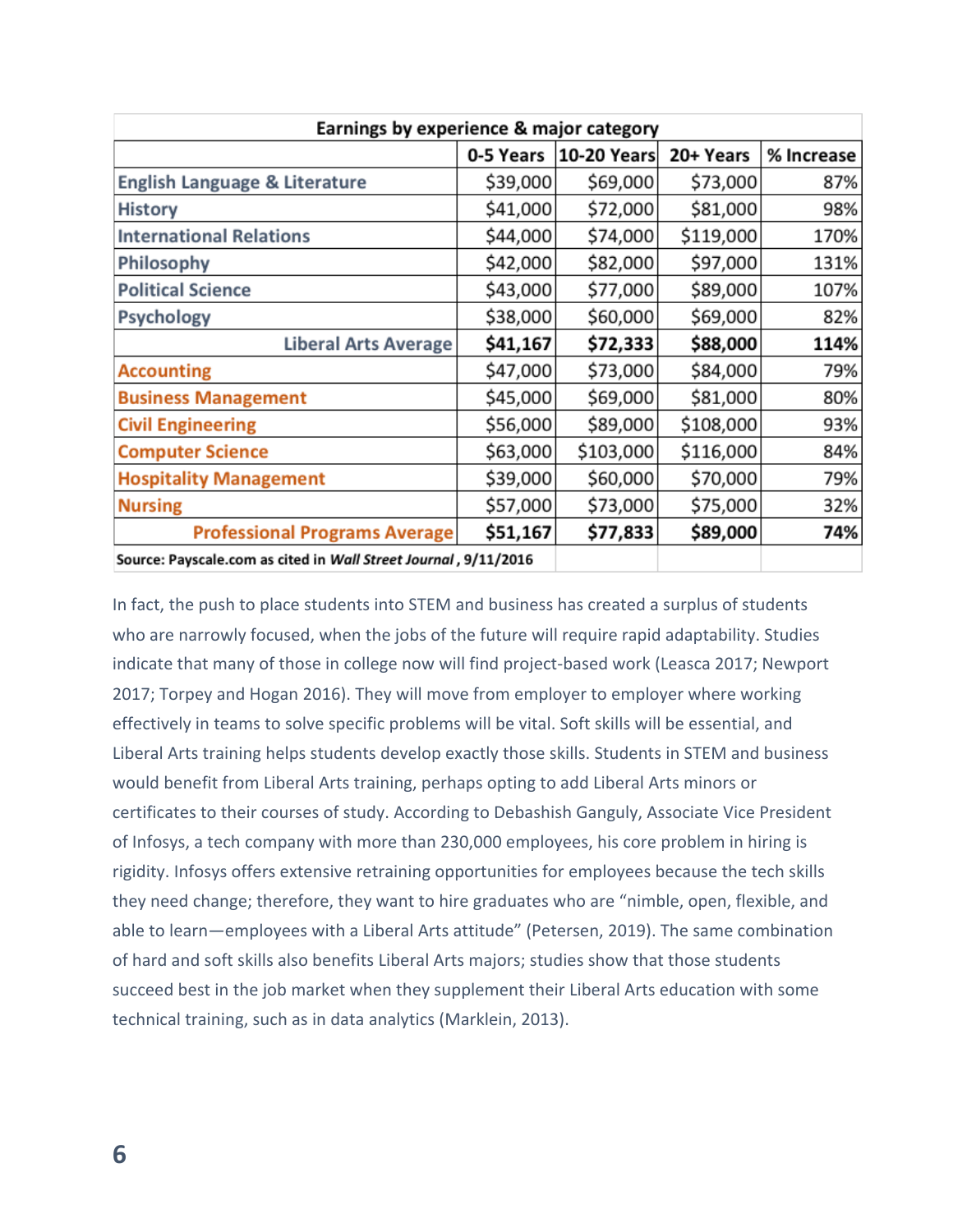| Earnings by experience & major category                         |           |                    |           |            |
|-----------------------------------------------------------------|-----------|--------------------|-----------|------------|
|                                                                 | 0-5 Years | <b>10-20 Years</b> | 20+ Years | % Increase |
| English Language & Literature                                   | \$39,000  | \$69,000           | \$73,000  | 87%        |
| <b>History</b>                                                  | \$41,000  | \$72,000           | \$81,000  | 98%        |
| <b>International Relations</b>                                  | \$44,000  | \$74,000           | \$119,000 | 170%       |
| Philosophy                                                      | \$42,000  | \$82,000           | \$97,000  | 131%       |
| <b>Political Science</b>                                        | \$43,000  | \$77,000           | \$89,000  | 107%       |
| <b>Psychology</b>                                               | \$38,000  | \$60,000           | \$69,000  | 82%        |
| <b>Liberal Arts Average</b>                                     | \$41,167  | \$72,333           | \$88,000  | 114%       |
| <b>Accounting</b>                                               | \$47,000  | \$73,000           | \$84,000  | 79%        |
| <b>Business Management</b>                                      | \$45,000  | \$69,000           | \$81,000  | 80%        |
| <b>Civil Engineering</b>                                        | \$56,000  | \$89,000           | \$108,000 | 93%        |
| <b>Computer Science</b>                                         | \$63,000  | \$103,000          | \$116,000 | 84%        |
| <b>Hospitality Management</b>                                   | \$39,000  | \$60,000           | \$70,000  | 79%        |
| <b>Nursing</b>                                                  | \$57,000  | \$73,000           | \$75,000  | 32%        |
| <b>Professional Programs Average</b>                            | \$51,167  | \$77,833           | \$89,000  | 74%        |
| Source: Payscale.com as cited in Wall Street Journal, 9/11/2016 |           |                    |           |            |

In fact, the push to place students into STEM and business has created a surplus of students who are narrowly focused, when the jobs of the future will require rapid adaptability. Studies indicate that many of those in college now will find project-based work (Leasca 2017; Newport 2017; Torpey and Hogan 2016). They will move from employer to employer where working effectively in teams to solve specific problems will be vital. Soft skills will be essential, and Liberal Arts training helps students develop exactly those skills. Students in STEM and business would benefit from Liberal Arts training, perhaps opting to add Liberal Arts minors or certificates to their courses of study. According to Debashish Ganguly, Associate Vice President of Infosys, a tech company with more than 230,000 employees, his core problem in hiring is rigidity. Infosys offers extensive retraining opportunities for employees because the tech skills they need change; therefore, they want to hire graduates who are "nimble, open, flexible, and able to learn—employees with a Liberal Arts attitude" (Petersen, 2019). The same combination of hard and soft skills also benefits Liberal Arts majors; studies show that those students succeed best in the job market when they supplement their Liberal Arts education with some technical training, such as in data analytics (Marklein, 2013).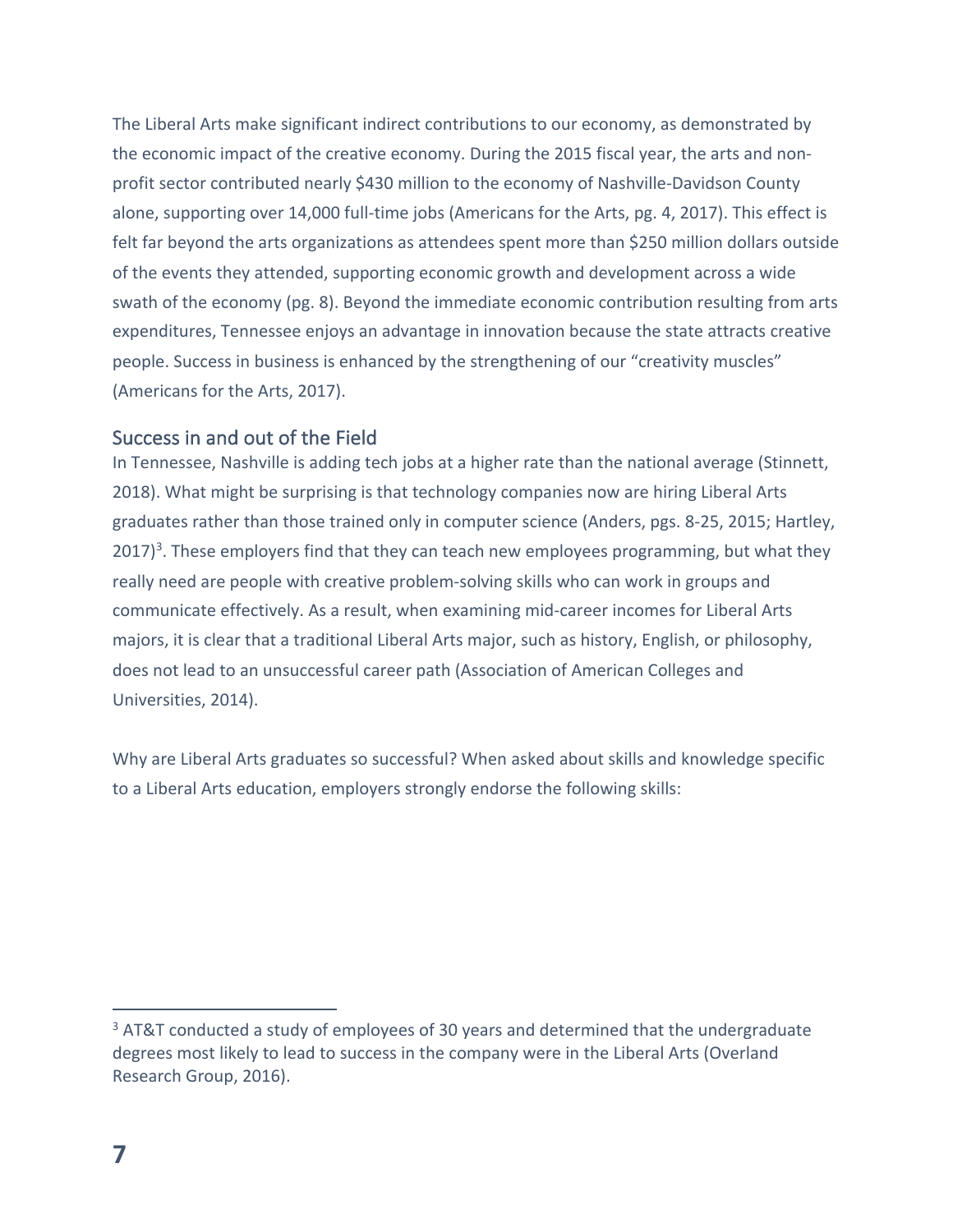The Liberal Arts make significant indirect contributions to our economy, as demonstrated by the economic impact of the creative economy. During the 2015 fiscal year, the arts and nonprofit sector contributed nearly \$430 million to the economy of Nashville-Davidson County alone, supporting over 14,000 full-time jobs (Americans for the Arts, pg. 4, 2017). This effect is felt far beyond the arts organizations as attendees spent more than \$250 million dollars outside of the events they attended, supporting economic growth and development across a wide swath of the economy (pg. 8). Beyond the immediate economic contribution resulting from arts expenditures, Tennessee enjoys an advantage in innovation because the state attracts creative people. Success in business is enhanced by the strengthening of our "creativity muscles" (Americans for the Arts, 2017).

#### Success in and out of the Field

In Tennessee, Nashville is adding tech jobs at a higher rate than the national average (Stinnett, 2018). What might be surprising is that technology companies now are hiring Liberal Arts graduates rather than those trained only in computer science (Anders, pgs. 8-25, 2015; Hartley, 2017)<sup>3</sup>. These employers find that they can teach new employees programming, but what they really need are people with creative problem-solving skills who can work in groups and communicate effectively. As a result, when examining mid-career incomes for Liberal Arts majors, it is clear that a traditional Liberal Arts major, such as history, English, or philosophy, does not lead to an unsuccessful career path (Association of American Colleges and Universities, 2014).

Why are Liberal Arts graduates so successful? When asked about skills and knowledge specific to a Liberal Arts education, employers strongly endorse the following skills:

<sup>&</sup>lt;sup>3</sup> AT&T conducted a study of employees of 30 years and determined that the undergraduate degrees most likely to lead to success in the company were in the Liberal Arts (Overland Research Group, 2016).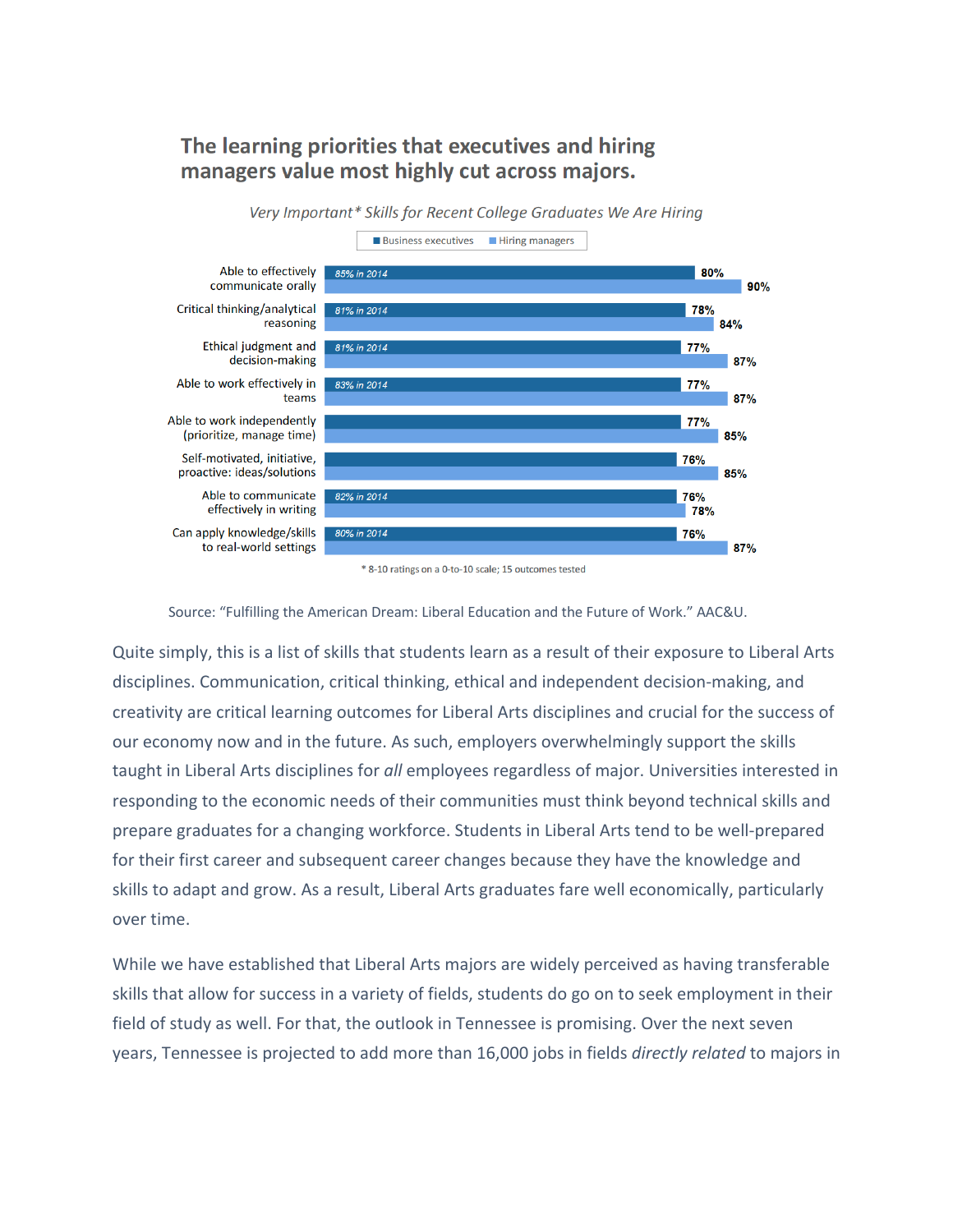#### The learning priorities that executives and hiring managers value most highly cut across majors.

Very Important\* Skills for Recent College Graduates We Are Hiring



\* 8-10 ratings on a 0-to-10 scale; 15 outcomes tested

Source: "Fulfilling the American Dream: Liberal Education and the Future of Work." AAC&U.

Quite simply, this is a list of skills that students learn as a result of their exposure to Liberal Arts disciplines. Communication, critical thinking, ethical and independent decision-making, and creativity are critical learning outcomes for Liberal Arts disciplines and crucial for the success of our economy now and in the future. As such, employers overwhelmingly support the skills taught in Liberal Arts disciplines for *all* employees regardless of major. Universities interested in responding to the economic needs of their communities must think beyond technical skills and prepare graduates for a changing workforce. Students in Liberal Arts tend to be well-prepared for their first career and subsequent career changes because they have the knowledge and skills to adapt and grow. As a result, Liberal Arts graduates fare well economically, particularly over time.

While we have established that Liberal Arts majors are widely perceived as having transferable skills that allow for success in a variety of fields, students do go on to seek employment in their field of study as well. For that, the outlook in Tennessee is promising. Over the next seven years, Tennessee is projected to add more than 16,000 jobs in fields *directly related* to majors in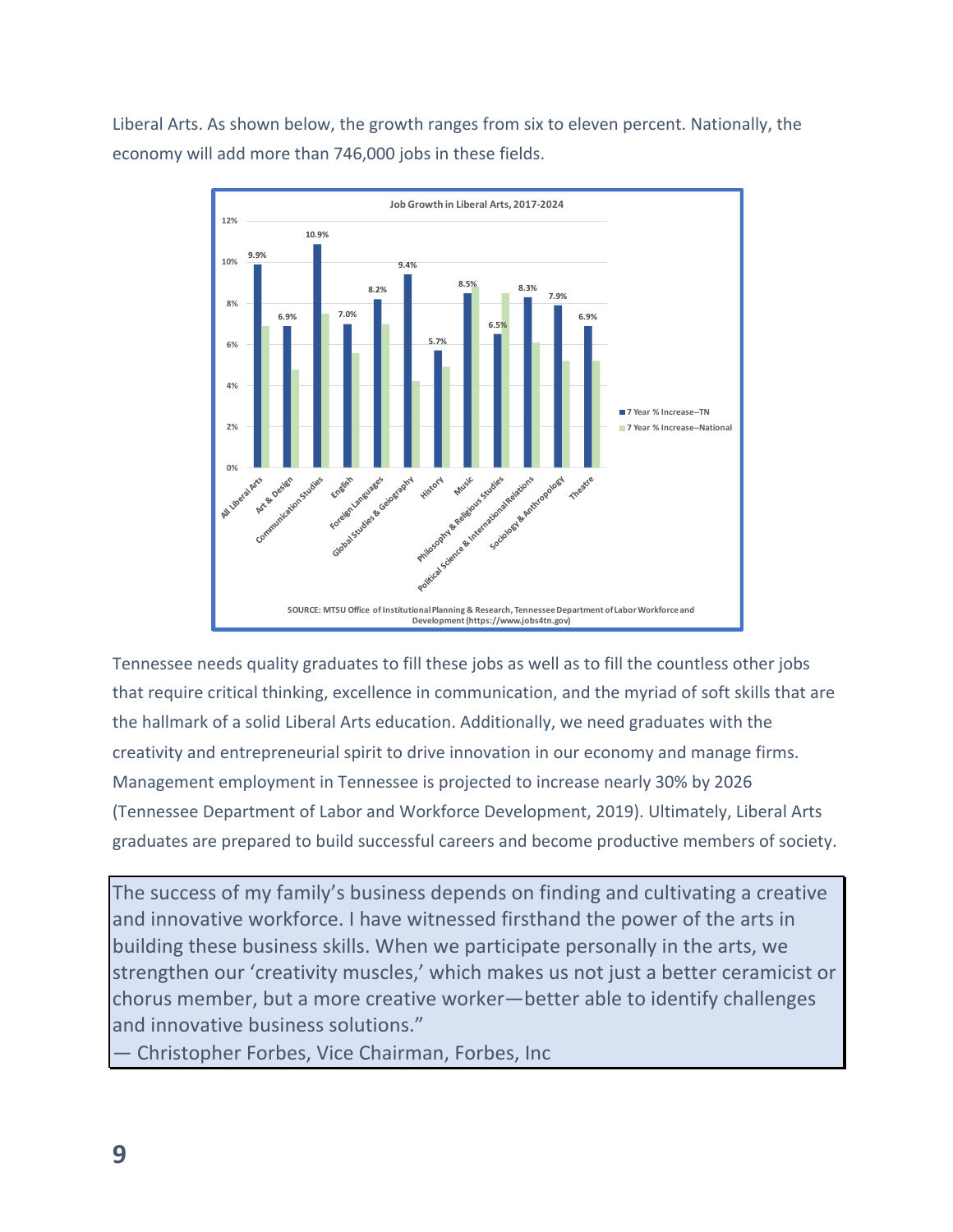Liberal Arts. As shown below, the growth ranges from six to eleven percent. Nationally, the economy will add more than 746,000 jobs in these fields.



Tennessee needs quality graduates to fill these jobs as well as to fill the countless other jobs that require critical thinking, excellence in communication, and the myriad of soft skills that are the hallmark of a solid Liberal Arts education. Additionally, we need graduates with the creativity and entrepreneurial spirit to drive innovation in our economy and manage firms. Management employment in Tennessee is projected to increase nearly 30% by 2026 (Tennessee Department of Labor and Workforce Development, 2019). Ultimately, Liberal Arts graduates are prepared to build successful careers and become productive members of society.

The success of my family's business depends on finding and cultivating a creative and innovative workforce. I have witnessed firsthand the power of the arts in building these business skills. When we participate personally in the arts, we strengthen our 'creativity muscles,' which makes us not just a better ceramicist or chorus member, but a more creative worker—better able to identify challenges and innovative business solutions."

— Christopher Forbes, Vice Chairman, Forbes, Inc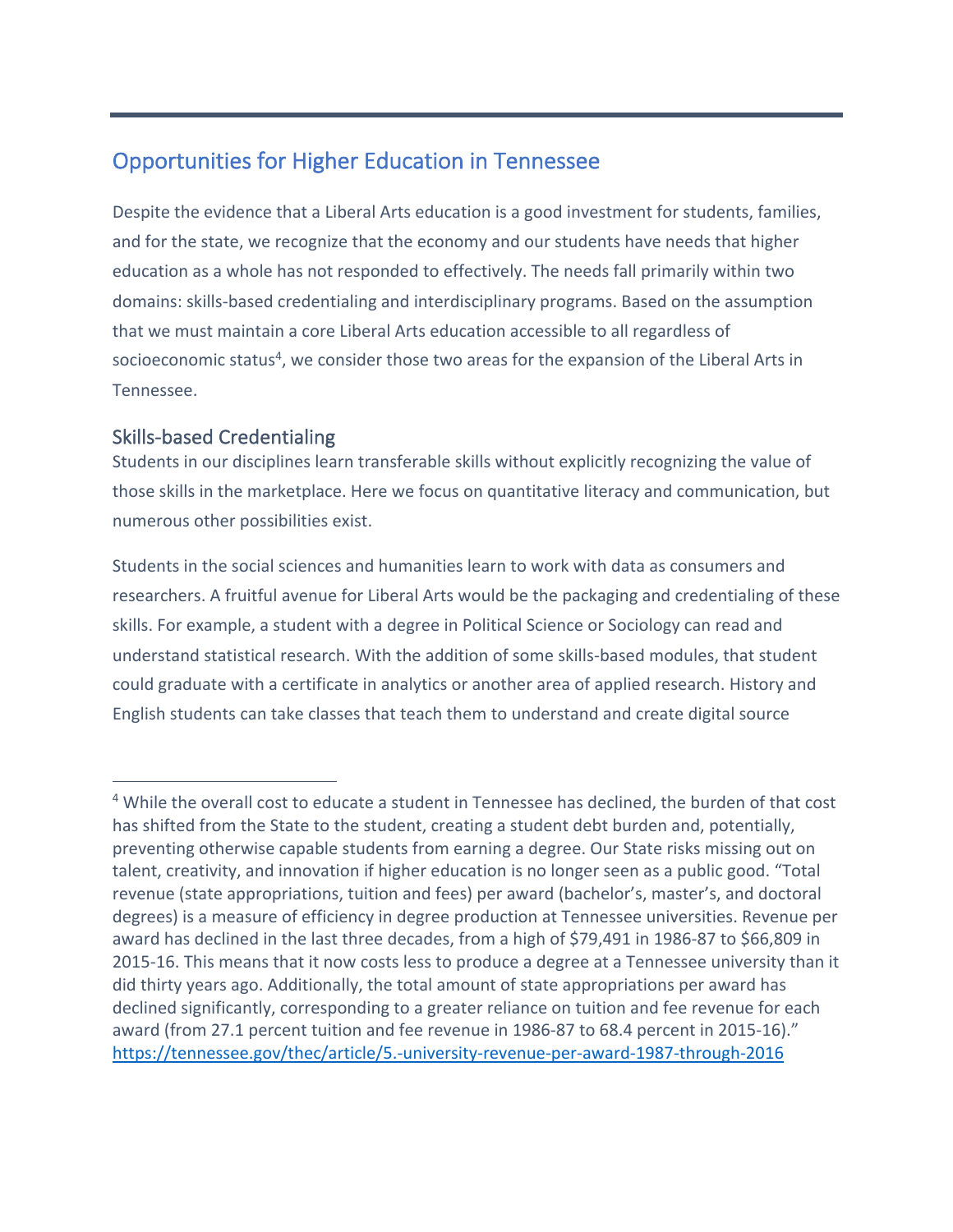## Opportunities for Higher Education in Tennessee

Despite the evidence that a Liberal Arts education is a good investment for students, families, and for the state, we recognize that the economy and our students have needs that higher education as a whole has not responded to effectively. The needs fall primarily within two domains: skills-based credentialing and interdisciplinary programs. Based on the assumption that we must maintain a core Liberal Arts education accessible to all regardless of socioeconomic status<sup>4</sup>, we consider those two areas for the expansion of the Liberal Arts in Tennessee.

#### Skills-based Credentialing

Students in our disciplines learn transferable skills without explicitly recognizing the value of those skills in the marketplace. Here we focus on quantitative literacy and communication, but numerous other possibilities exist.

Students in the social sciences and humanities learn to work with data as consumers and researchers. A fruitful avenue for Liberal Arts would be the packaging and credentialing of these skills. For example, a student with a degree in Political Science or Sociology can read and understand statistical research. With the addition of some skills-based modules, that student could graduate with a certificate in analytics or another area of applied research. History and English students can take classes that teach them to understand and create digital source

<sup>&</sup>lt;sup>4</sup> While the overall cost to educate a student in Tennessee has declined, the burden of that cost has shifted from the State to the student, creating a student debt burden and, potentially, preventing otherwise capable students from earning a degree. Our State risks missing out on talent, creativity, and innovation if higher education is no longer seen as a public good. "Total revenue (state appropriations, tuition and fees) per award (bachelor's, master's, and doctoral degrees) is a measure of efficiency in degree production at Tennessee universities. Revenue per award has declined in the last three decades, from a high of \$79,491 in 1986-87 to \$66,809 in 2015-16. This means that it now costs less to produce a degree at a Tennessee university than it did thirty years ago. Additionally, the total amount of state appropriations per award has declined significantly, corresponding to a greater reliance on tuition and fee revenue for each award (from 27.1 percent tuition and fee revenue in 1986-87 to 68.4 percent in 2015-16)." https://tennessee.gov/thec/article/5.-university-revenue-per-award-1987-through-2016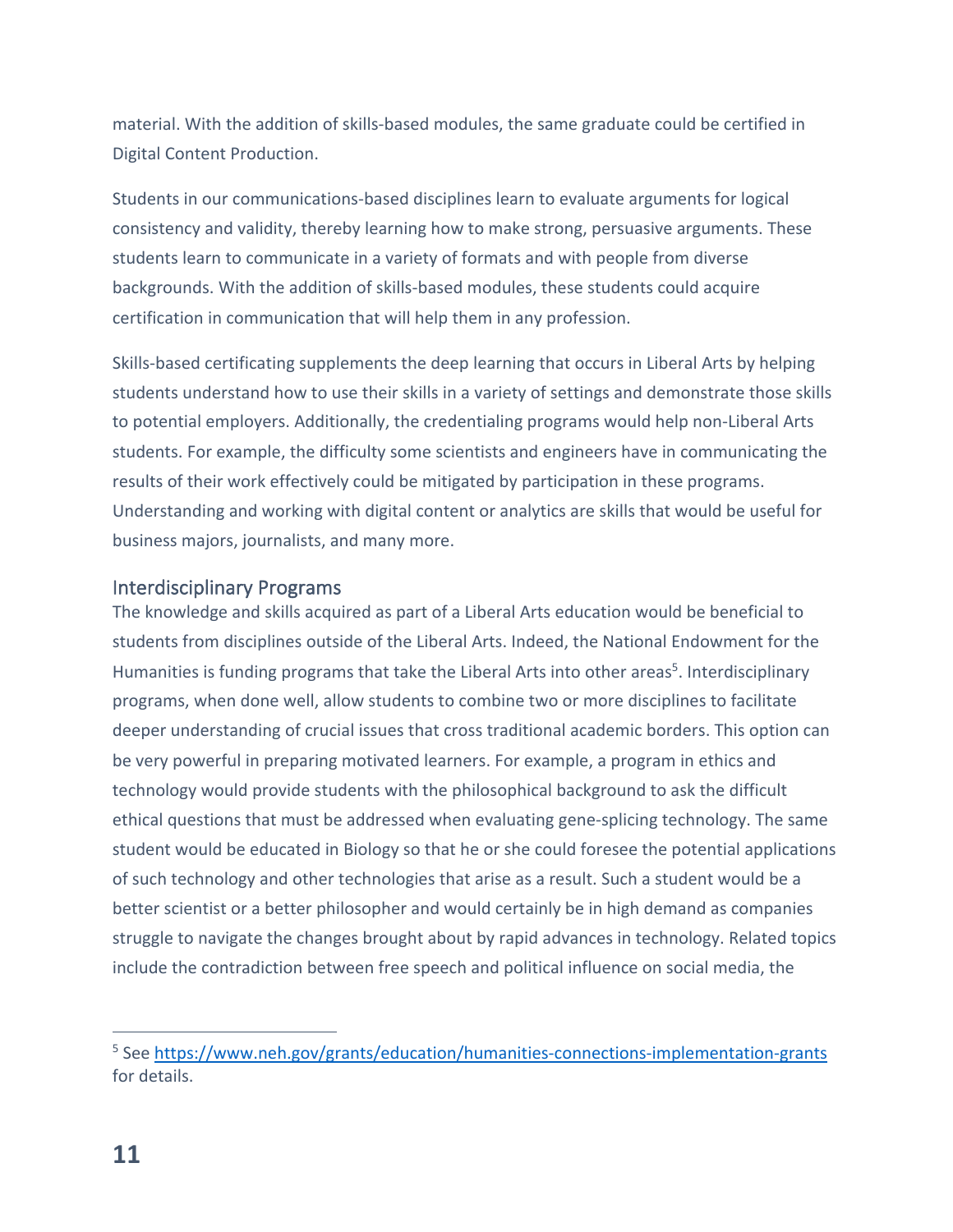material. With the addition of skills-based modules, the same graduate could be certified in Digital Content Production.

Students in our communications-based disciplines learn to evaluate arguments for logical consistency and validity, thereby learning how to make strong, persuasive arguments. These students learn to communicate in a variety of formats and with people from diverse backgrounds. With the addition of skills-based modules, these students could acquire certification in communication that will help them in any profession.

Skills-based certificating supplements the deep learning that occurs in Liberal Arts by helping students understand how to use their skills in a variety of settings and demonstrate those skills to potential employers. Additionally, the credentialing programs would help non-Liberal Arts students. For example, the difficulty some scientists and engineers have in communicating the results of their work effectively could be mitigated by participation in these programs. Understanding and working with digital content or analytics are skills that would be useful for business majors, journalists, and many more.

#### Interdisciplinary Programs

The knowledge and skills acquired as part of a Liberal Arts education would be beneficial to students from disciplines outside of the Liberal Arts. Indeed, the National Endowment for the Humanities is funding programs that take the Liberal Arts into other areas<sup>5</sup>. Interdisciplinary programs, when done well, allow students to combine two or more disciplines to facilitate deeper understanding of crucial issues that cross traditional academic borders. This option can be very powerful in preparing motivated learners. For example, a program in ethics and technology would provide students with the philosophical background to ask the difficult ethical questions that must be addressed when evaluating gene-splicing technology. The same student would be educated in Biology so that he or she could foresee the potential applications of such technology and other technologies that arise as a result. Such a student would be a better scientist or a better philosopher and would certainly be in high demand as companies struggle to navigate the changes brought about by rapid advances in technology. Related topics include the contradiction between free speech and political influence on social media, the

<sup>&</sup>lt;sup>5</sup> See https://www.neh.gov/grants/education/humanities-connections-implementation-grants for details.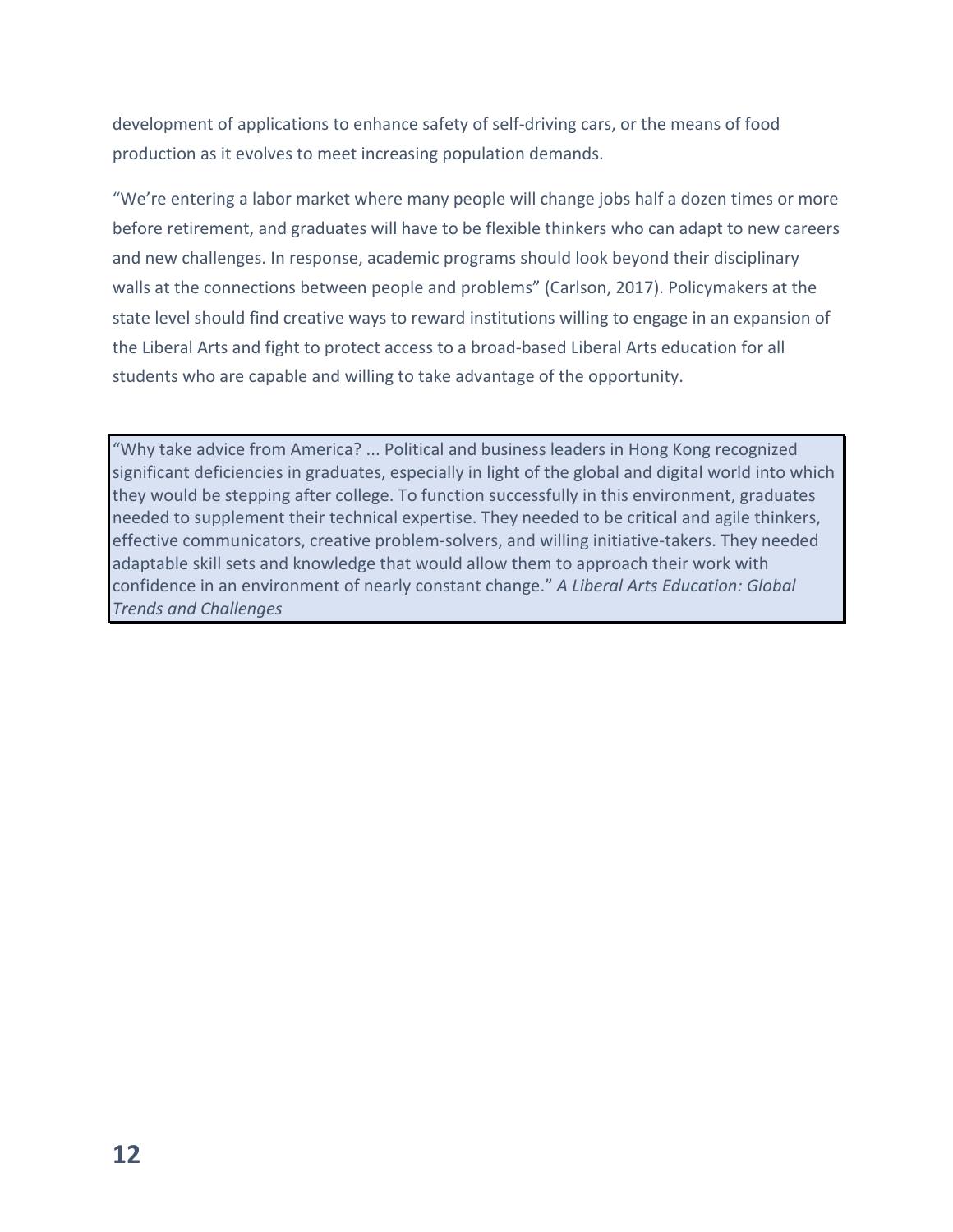development of applications to enhance safety of self-driving cars, or the means of food production as it evolves to meet increasing population demands.

"We're entering a labor market where many people will change jobs half a dozen times or more before retirement, and graduates will have to be flexible thinkers who can adapt to new careers and new challenges. In response, academic programs should look beyond their disciplinary walls at the connections between people and problems" (Carlson, 2017). Policymakers at the state level should find creative ways to reward institutions willing to engage in an expansion of the Liberal Arts and fight to protect access to a broad-based Liberal Arts education for all students who are capable and willing to take advantage of the opportunity.

"Why take advice from America? ... Political and business leaders in Hong Kong recognized significant deficiencies in graduates, especially in light of the global and digital world into which they would be stepping after college. To function successfully in this environment, graduates needed to supplement their technical expertise. They needed to be critical and agile thinkers, effective communicators, creative problem-solvers, and willing initiative-takers. They needed adaptable skill sets and knowledge that would allow them to approach their work with confidence in an environment of nearly constant change." *A Liberal Arts Education: Global Trends and Challenges*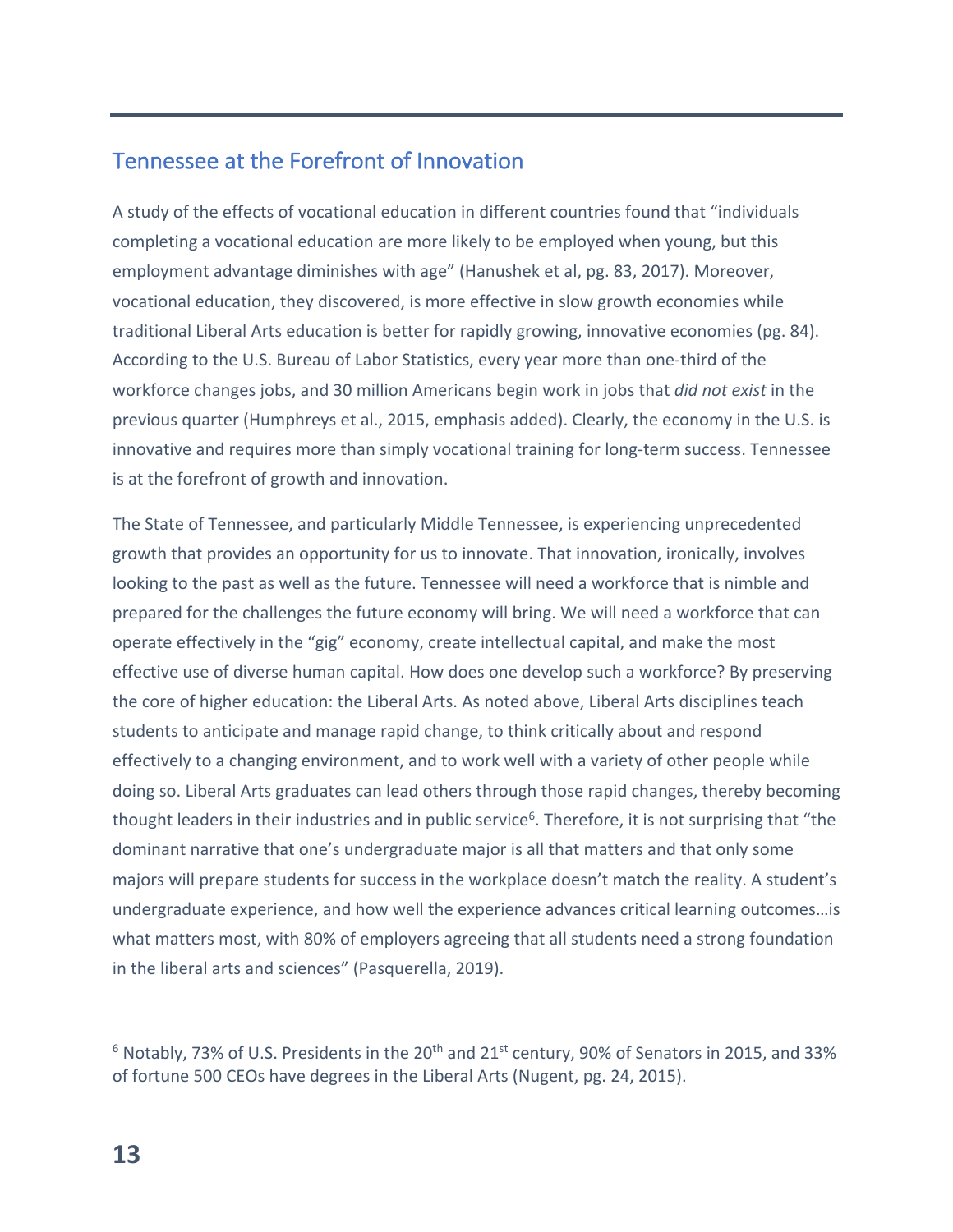## Tennessee at the Forefront of Innovation

A study of the effects of vocational education in different countries found that "individuals completing a vocational education are more likely to be employed when young, but this employment advantage diminishes with age" (Hanushek et al, pg. 83, 2017). Moreover, vocational education, they discovered, is more effective in slow growth economies while traditional Liberal Arts education is better for rapidly growing, innovative economies (pg. 84). According to the U.S. Bureau of Labor Statistics, every year more than one-third of the workforce changes jobs, and 30 million Americans begin work in jobs that *did not exist* in the previous quarter (Humphreys et al., 2015, emphasis added). Clearly, the economy in the U.S. is innovative and requires more than simply vocational training for long-term success. Tennessee is at the forefront of growth and innovation.

The State of Tennessee, and particularly Middle Tennessee, is experiencing unprecedented growth that provides an opportunity for us to innovate. That innovation, ironically, involves looking to the past as well as the future. Tennessee will need a workforce that is nimble and prepared for the challenges the future economy will bring. We will need a workforce that can operate effectively in the "gig" economy, create intellectual capital, and make the most effective use of diverse human capital. How does one develop such a workforce? By preserving the core of higher education: the Liberal Arts. As noted above, Liberal Arts disciplines teach students to anticipate and manage rapid change, to think critically about and respond effectively to a changing environment, and to work well with a variety of other people while doing so. Liberal Arts graduates can lead others through those rapid changes, thereby becoming thought leaders in their industries and in public service<sup>6</sup>. Therefore, it is not surprising that "the dominant narrative that one's undergraduate major is all that matters and that only some majors will prepare students for success in the workplace doesn't match the reality. A student's undergraduate experience, and how well the experience advances critical learning outcomes…is what matters most, with 80% of employers agreeing that all students need a strong foundation in the liberal arts and sciences" (Pasquerella, 2019).

 $6$  Notably, 73% of U.S. Presidents in the 20<sup>th</sup> and 21<sup>st</sup> century, 90% of Senators in 2015, and 33% of fortune 500 CEOs have degrees in the Liberal Arts (Nugent, pg. 24, 2015).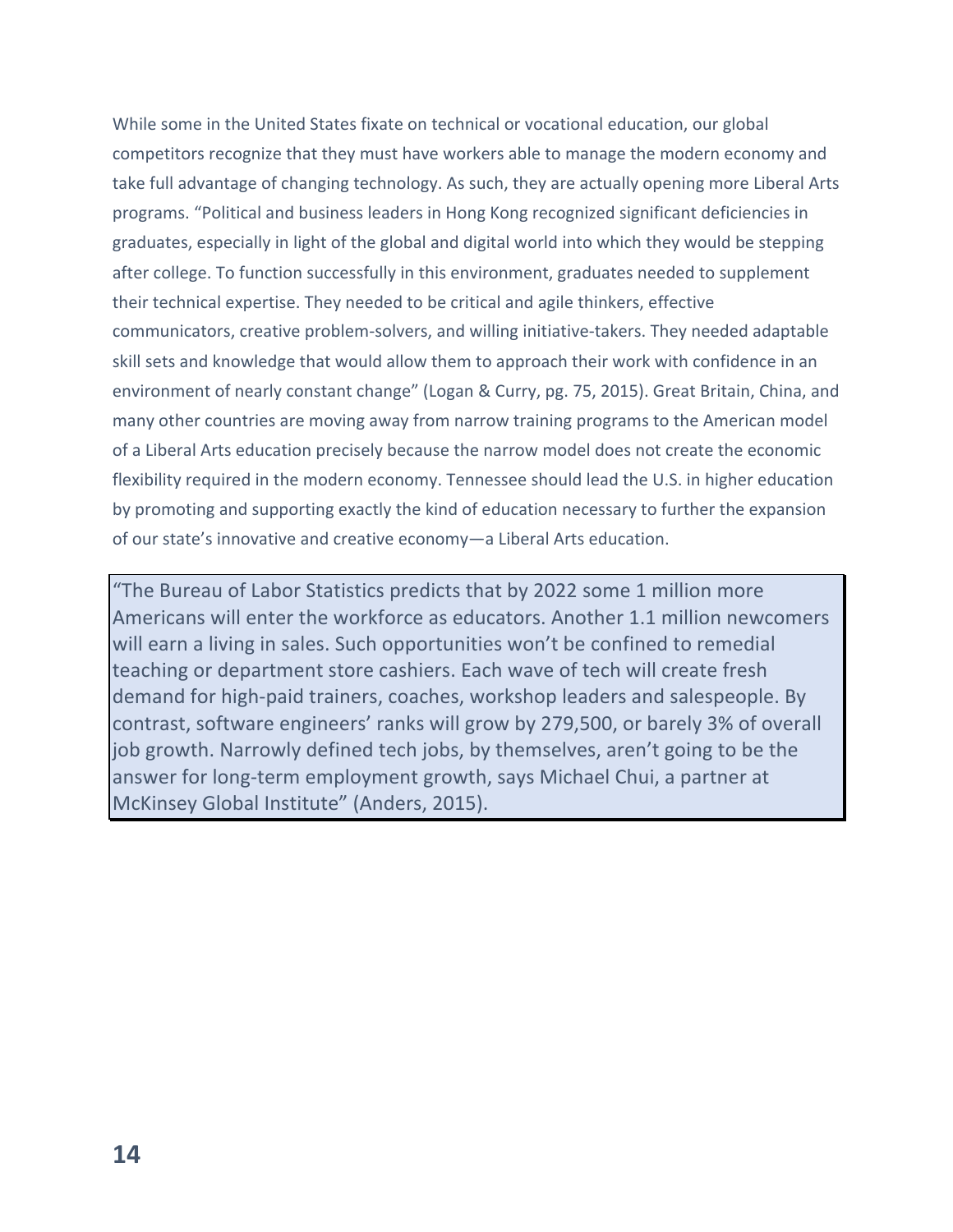While some in the United States fixate on technical or vocational education, our global competitors recognize that they must have workers able to manage the modern economy and take full advantage of changing technology. As such, they are actually opening more Liberal Arts programs. "Political and business leaders in Hong Kong recognized significant deficiencies in graduates, especially in light of the global and digital world into which they would be stepping after college. To function successfully in this environment, graduates needed to supplement their technical expertise. They needed to be critical and agile thinkers, effective communicators, creative problem-solvers, and willing initiative-takers. They needed adaptable skill sets and knowledge that would allow them to approach their work with confidence in an environment of nearly constant change" (Logan & Curry, pg. 75, 2015). Great Britain, China, and many other countries are moving away from narrow training programs to the American model of a Liberal Arts education precisely because the narrow model does not create the economic flexibility required in the modern economy. Tennessee should lead the U.S. in higher education by promoting and supporting exactly the kind of education necessary to further the expansion of our state's innovative and creative economy—a Liberal Arts education.

"The Bureau of Labor Statistics predicts that by 2022 some 1 million more Americans will enter the workforce as educators. Another 1.1 million newcomers will earn a living in sales. Such opportunities won't be confined to remedial teaching or department store cashiers. Each wave of tech will create fresh demand for high-paid trainers, coaches, workshop leaders and salespeople. By contrast, software engineers' ranks will grow by 279,500, or barely 3% of overall job growth. Narrowly defined tech jobs, by themselves, aren't going to be the answer for long-term employment growth, says Michael Chui, a partner at McKinsey Global Institute" (Anders, 2015).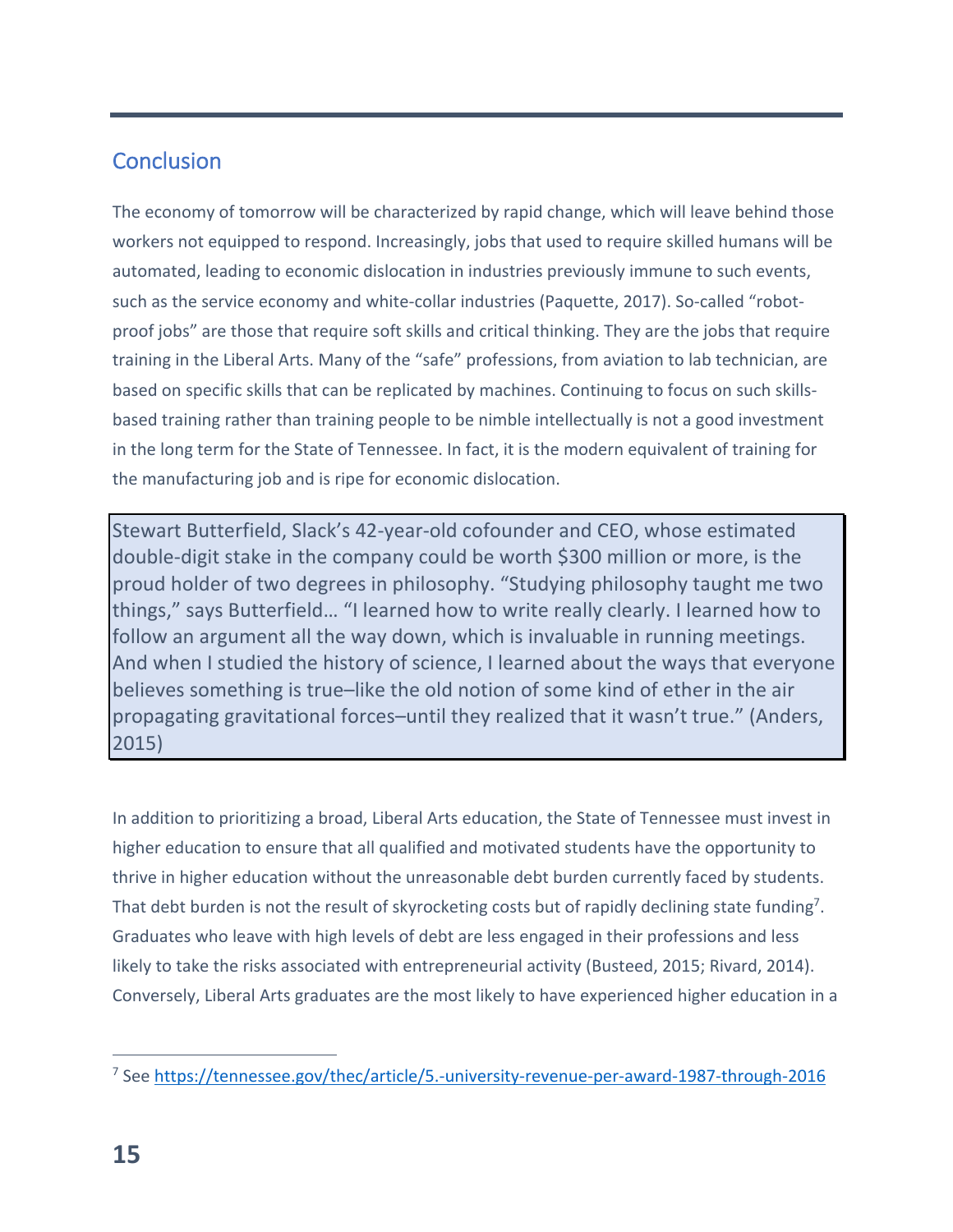# **Conclusion**

The economy of tomorrow will be characterized by rapid change, which will leave behind those workers not equipped to respond. Increasingly, jobs that used to require skilled humans will be automated, leading to economic dislocation in industries previously immune to such events, such as the service economy and white-collar industries (Paquette, 2017). So-called "robotproof jobs" are those that require soft skills and critical thinking. They are the jobs that require training in the Liberal Arts. Many of the "safe" professions, from aviation to lab technician, are based on specific skills that can be replicated by machines. Continuing to focus on such skillsbased training rather than training people to be nimble intellectually is not a good investment in the long term for the State of Tennessee. In fact, it is the modern equivalent of training for the manufacturing job and is ripe for economic dislocation.

Stewart Butterfield, Slack's 42-year-old cofounder and CEO, whose estimated double-digit stake in the company could be worth \$300 million or more, is the proud holder of two degrees in philosophy. "Studying philosophy taught me two things," says Butterfield… "I learned how to write really clearly. I learned how to follow an argument all the way down, which is invaluable in running meetings. And when I studied the history of science, I learned about the ways that everyone believes something is true–like the old notion of some kind of ether in the air propagating gravitational forces–until they realized that it wasn't true." (Anders, 2015)

In addition to prioritizing a broad, Liberal Arts education, the State of Tennessee must invest in higher education to ensure that all qualified and motivated students have the opportunity to thrive in higher education without the unreasonable debt burden currently faced by students. That debt burden is not the result of skyrocketing costs but of rapidly declining state funding<sup>7</sup>. Graduates who leave with high levels of debt are less engaged in their professions and less likely to take the risks associated with entrepreneurial activity (Busteed, 2015; Rivard, 2014). Conversely, Liberal Arts graduates are the most likely to have experienced higher education in a

<sup>7</sup> See https://tennessee.gov/thec/article/5.-university-revenue-per-award-1987-through-2016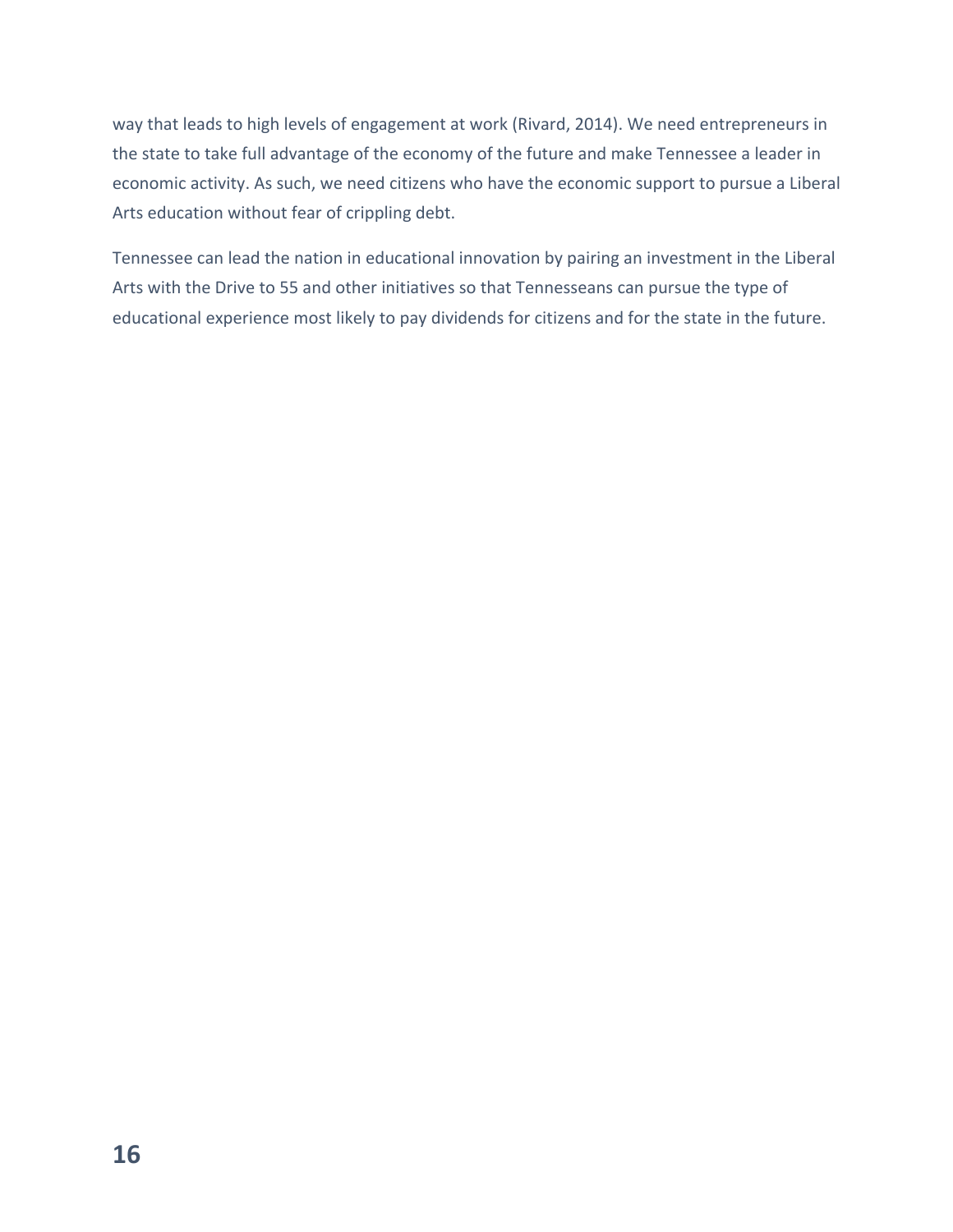way that leads to high levels of engagement at work (Rivard, 2014). We need entrepreneurs in the state to take full advantage of the economy of the future and make Tennessee a leader in economic activity. As such, we need citizens who have the economic support to pursue a Liberal Arts education without fear of crippling debt.

Tennessee can lead the nation in educational innovation by pairing an investment in the Liberal Arts with the Drive to 55 and other initiatives so that Tennesseans can pursue the type of educational experience most likely to pay dividends for citizens and for the state in the future.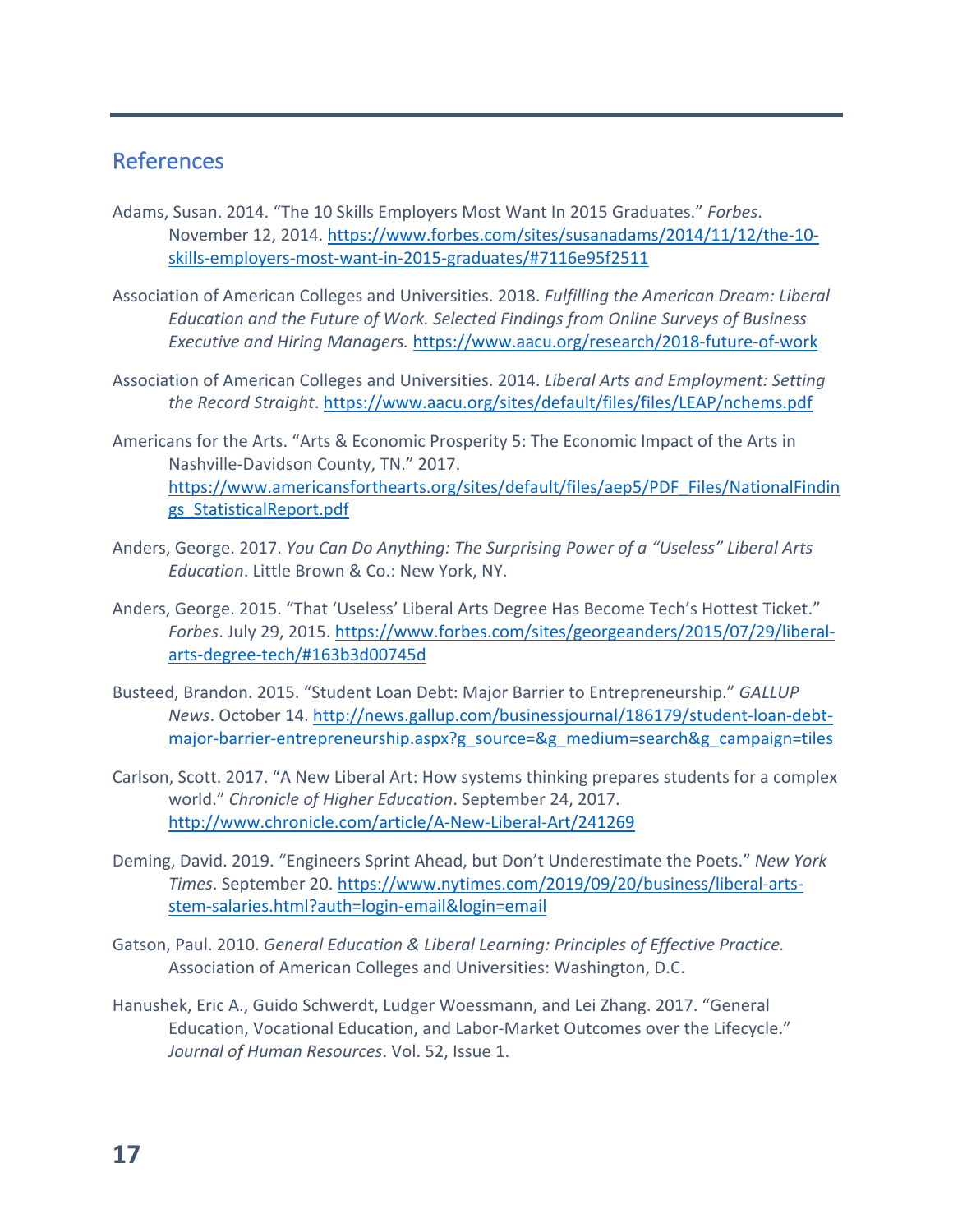#### References

- Adams, Susan. 2014. "The 10 Skills Employers Most Want In 2015 Graduates." *Forbes*. November 12, 2014. https://www.forbes.com/sites/susanadams/2014/11/12/the-10 skills-employers-most-want-in-2015-graduates/#7116e95f2511
- Association of American Colleges and Universities. 2018. *Fulfilling the American Dream: Liberal Education and the Future of Work. Selected Findings from Online Surveys of Business Executive and Hiring Managers.* https://www.aacu.org/research/2018-future-of-work
- Association of American Colleges and Universities. 2014. *Liberal Arts and Employment: Setting the Record Straight*. https://www.aacu.org/sites/default/files/files/LEAP/nchems.pdf
- Americans for the Arts. "Arts & Economic Prosperity 5: The Economic Impact of the Arts in Nashville-Davidson County, TN." 2017. https://www.americansforthearts.org/sites/default/files/aep5/PDF\_Files/NationalFindin gs\_StatisticalReport.pdf
- Anders, George. 2017. *You Can Do Anything: The Surprising Power of a "Useless" Liberal Arts Education*. Little Brown & Co.: New York, NY.
- Anders, George. 2015. "That 'Useless' Liberal Arts Degree Has Become Tech's Hottest Ticket." *Forbes*. July 29, 2015. https://www.forbes.com/sites/georgeanders/2015/07/29/liberalarts-degree-tech/#163b3d00745d
- Busteed, Brandon. 2015. "Student Loan Debt: Major Barrier to Entrepreneurship." *GALLUP News*. October 14. http://news.gallup.com/businessjournal/186179/student-loan-debtmajor-barrier-entrepreneurship.aspx?g\_source=&g\_medium=search&g\_campaign=tiles
- Carlson, Scott. 2017. "A New Liberal Art: How systems thinking prepares students for a complex world." *Chronicle of Higher Education*. September 24, 2017. http://www.chronicle.com/article/A-New-Liberal-Art/241269
- Deming, David. 2019. "Engineers Sprint Ahead, but Don't Underestimate the Poets." *New York Times*. September 20. https://www.nytimes.com/2019/09/20/business/liberal-artsstem-salaries.html?auth=login-email&login=email
- Gatson, Paul. 2010. *General Education & Liberal Learning: Principles of Effective Practice.* Association of American Colleges and Universities: Washington, D.C.
- Hanushek, Eric A., Guido Schwerdt, Ludger Woessmann, and Lei Zhang. 2017. "General Education, Vocational Education, and Labor-Market Outcomes over the Lifecycle." *Journal of Human Resources*. Vol. 52, Issue 1.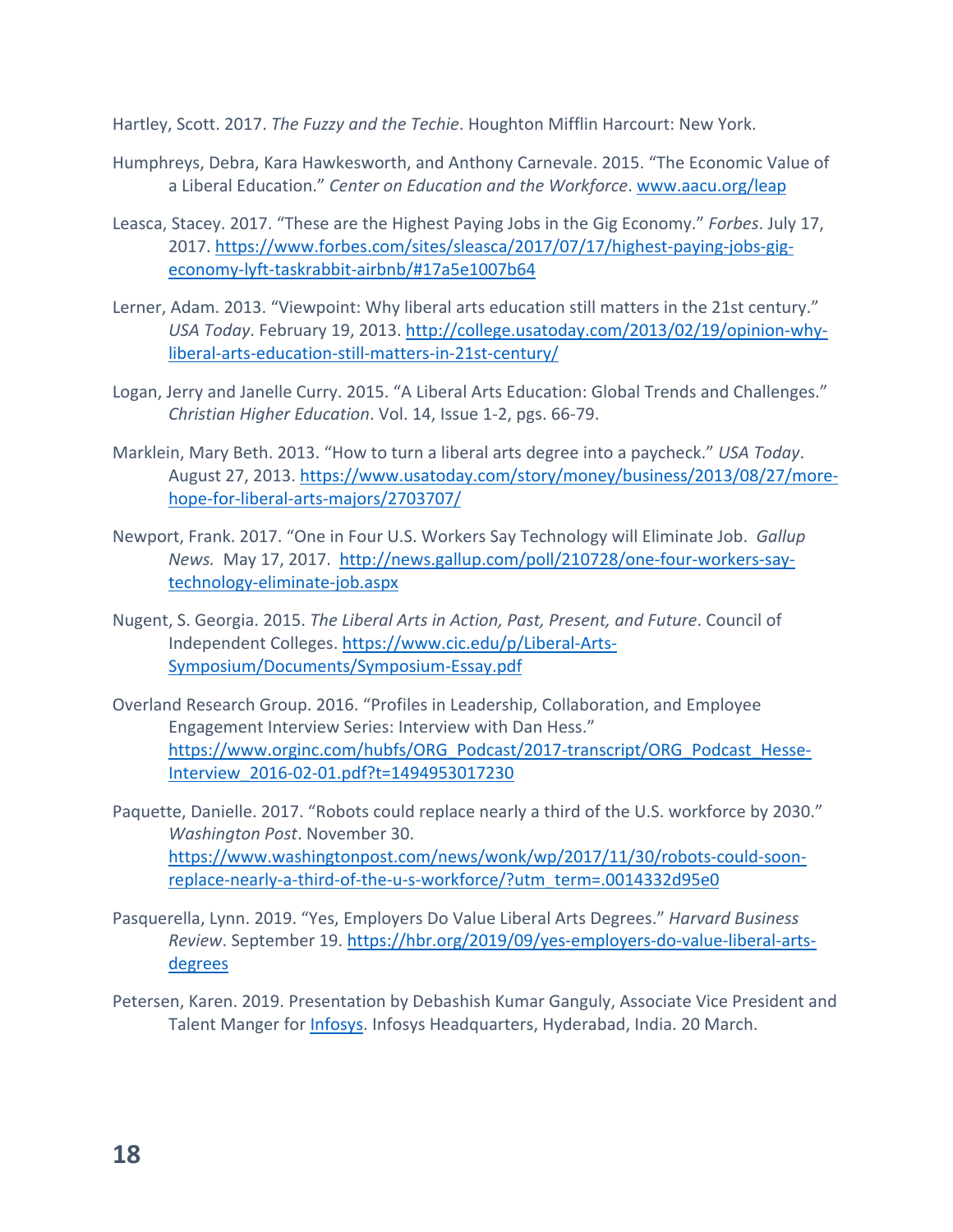Hartley, Scott. 2017. *The Fuzzy and the Techie*. Houghton Mifflin Harcourt: New York.

- Humphreys, Debra, Kara Hawkesworth, and Anthony Carnevale. 2015. "The Economic Value of a Liberal Education." *Center on Education and the Workforce*. www.aacu.org/leap
- Leasca, Stacey. 2017. "These are the Highest Paying Jobs in the Gig Economy." *Forbes*. July 17, 2017. https://www.forbes.com/sites/sleasca/2017/07/17/highest-paying-jobs-gigeconomy-lyft-taskrabbit-airbnb/#17a5e1007b64
- Lerner, Adam. 2013. "Viewpoint: Why liberal arts education still matters in the 21st century." *USA Today*. February 19, 2013. http://college.usatoday.com/2013/02/19/opinion-whyliberal-arts-education-still-matters-in-21st-century/
- Logan, Jerry and Janelle Curry. 2015. "A Liberal Arts Education: Global Trends and Challenges." *Christian Higher Education*. Vol. 14, Issue 1-2, pgs. 66-79.
- Marklein, Mary Beth. 2013. "How to turn a liberal arts degree into a paycheck." *USA Today*. August 27, 2013. https://www.usatoday.com/story/money/business/2013/08/27/morehope-for-liberal-arts-majors/2703707/
- Newport, Frank. 2017. "One in Four U.S. Workers Say Technology will Eliminate Job. *Gallup News.* May 17, 2017. http://news.gallup.com/poll/210728/one-four-workers-saytechnology-eliminate-job.aspx
- Nugent, S. Georgia. 2015. *The Liberal Arts in Action, Past, Present, and Future*. Council of Independent Colleges. https://www.cic.edu/p/Liberal-Arts-Symposium/Documents/Symposium-Essay.pdf
- Overland Research Group. 2016. "Profiles in Leadership, Collaboration, and Employee Engagement Interview Series: Interview with Dan Hess." https://www.orginc.com/hubfs/ORG\_Podcast/2017-transcript/ORG\_Podcast\_Hesse-Interview\_2016-02-01.pdf?t=1494953017230
- Paquette, Danielle. 2017. "Robots could replace nearly a third of the U.S. workforce by 2030." *Washington Post*. November 30. https://www.washingtonpost.com/news/wonk/wp/2017/11/30/robots-could-soonreplace-nearly-a-third-of-the-u-s-workforce/?utm\_term=.0014332d95e0
- Pasquerella, Lynn. 2019. "Yes, Employers Do Value Liberal Arts Degrees." *Harvard Business Review*. September 19. https://hbr.org/2019/09/yes-employers-do-value-liberal-artsdegrees
- Petersen, Karen. 2019. Presentation by Debashish Kumar Ganguly, Associate Vice President and Talent Manger for Infosys. Infosys Headquarters, Hyderabad, India. 20 March.